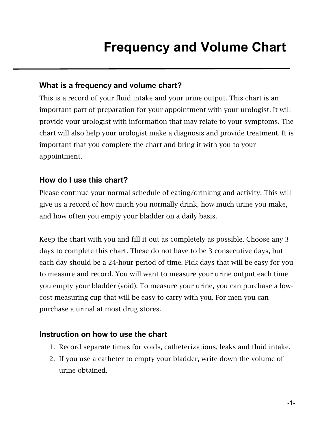## **Frequency and Volume Chart**

## **What is a frequency and volume chart?**

This is a record of your fluid intake and your urine output. This chart is an important part of preparation for your appointment with your urologist. It will provide your urologist with information that may relate to your symptoms. The chart will also help your urologist make a diagnosis and provide treatment. It is important that you complete the chart and bring it with you to your appointment.

## **How do I use this chart?**

Please continue your normal schedule of eating/drinking and activity. This will give us a record of how much you normally drink, how much urine you make, and how often you empty your bladder on a daily basis.

Keep the chart with you and fill it out as completely as possible. Choose any 3 days to complete this chart. These do not have to be 3 consecutive days, but each day should be a 24-hour period of time. Pick days that will be easy for you to measure and record. You will want to measure your urine output each time you empty your bladder (void). To measure your urine, you can purchase a lowcost measuring cup that will be easy to carry with you. For men you can purchase a urinal at most drug stores.

## **Instruction on how to use the chart**

- 1. Record separate times for voids, catheterizations, leaks and fluid intake.
- 2. If you use a catheter to empty your bladder, write down the volume of urine obtained.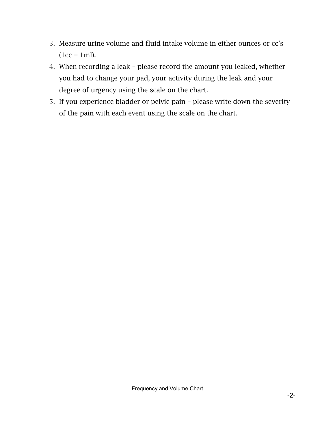- 3. Measure urine volume and fluid intake volume in either ounces or cc's  $(1cc = 1ml).$
- 4. When recording a leak please record the amount you leaked, whether you had to change your pad, your activity during the leak and your degree of urgency using the scale on the chart.
- 5. If you experience bladder or pelvic pain please write down the severity of the pain with each event using the scale on the chart.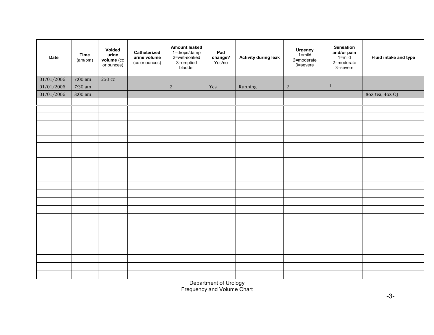| <b>Time</b><br>(am/pm) | Voided<br>urine<br>volume (cc<br>or ounces) | Catheterized<br>urine volume<br>(cc or ounces) | <b>Amount leaked</b><br>1=drops/damp<br>2=wet-soaked<br>3=emptied<br>bladder | Pad<br>change?<br>Yes/no | <b>Activity during leak</b> | <b>Urgency</b><br>1=mild<br>2=moderate<br>3=severe | Sensation<br>and/or pain<br>$1 = \text{mild}$<br>2=moderate<br>3=severe | Fluid intake and type |
|------------------------|---------------------------------------------|------------------------------------------------|------------------------------------------------------------------------------|--------------------------|-----------------------------|----------------------------------------------------|-------------------------------------------------------------------------|-----------------------|
| 7:00 am                | 250 сс                                      |                                                |                                                                              |                          |                             |                                                    |                                                                         |                       |
| 7:30 am                |                                             |                                                | $\sqrt{2}$                                                                   | Yes                      | Running                     | $\sqrt{2}$                                         | $\mathbf{1}$                                                            |                       |
| 8:00 am                |                                             |                                                |                                                                              |                          |                             |                                                    |                                                                         | 80z tea, 40z OJ       |
|                        |                                             |                                                |                                                                              |                          |                             |                                                    |                                                                         |                       |
|                        |                                             |                                                |                                                                              |                          |                             |                                                    |                                                                         |                       |
|                        |                                             |                                                |                                                                              |                          |                             |                                                    |                                                                         |                       |
|                        |                                             |                                                |                                                                              |                          |                             |                                                    |                                                                         |                       |
|                        |                                             |                                                |                                                                              |                          |                             |                                                    |                                                                         |                       |
|                        |                                             |                                                |                                                                              |                          |                             |                                                    |                                                                         |                       |
|                        |                                             |                                                |                                                                              |                          |                             |                                                    |                                                                         |                       |
|                        |                                             |                                                |                                                                              |                          |                             |                                                    |                                                                         |                       |
|                        |                                             |                                                |                                                                              |                          |                             |                                                    |                                                                         |                       |
|                        |                                             |                                                |                                                                              |                          |                             |                                                    |                                                                         |                       |
|                        |                                             |                                                |                                                                              |                          |                             |                                                    |                                                                         |                       |
|                        |                                             |                                                |                                                                              |                          |                             |                                                    |                                                                         |                       |
|                        |                                             |                                                |                                                                              |                          |                             |                                                    |                                                                         |                       |
|                        |                                             |                                                |                                                                              |                          |                             |                                                    |                                                                         |                       |
|                        |                                             |                                                |                                                                              |                          |                             |                                                    |                                                                         |                       |
|                        |                                             |                                                |                                                                              |                          |                             |                                                    |                                                                         |                       |
|                        |                                             |                                                |                                                                              |                          |                             |                                                    |                                                                         |                       |
|                        |                                             |                                                |                                                                              |                          |                             |                                                    |                                                                         |                       |
|                        |                                             |                                                |                                                                              |                          |                             |                                                    |                                                                         |                       |
|                        |                                             |                                                |                                                                              |                          |                             |                                                    |                                                                         |                       |
|                        |                                             |                                                |                                                                              |                          |                             |                                                    |                                                                         |                       |
|                        |                                             |                                                |                                                                              |                          |                             |                                                    |                                                                         |                       |
|                        |                                             |                                                |                                                                              |                          |                             |                                                    |                                                                         |                       |
|                        |                                             |                                                |                                                                              |                          |                             |                                                    |                                                                         |                       |

Department of Urology Frequency and Volume Chart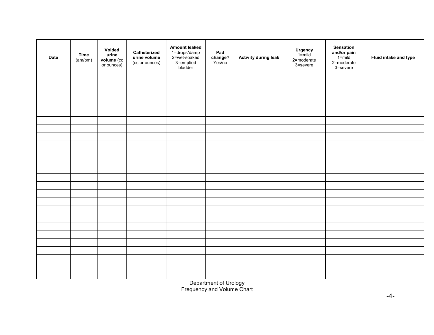| <b>Date</b> | <b>Time</b><br>(am/pm) | Voided<br>urine<br>volume (cc<br>or ounces) | Catheterized<br>urine volume<br>(cc or ounces) | <b>Amount leaked</b><br>1=drops/damp<br>2=wet-soaked<br>3=emptied<br>bladder | Pad<br>change?<br>Yes/no | <b>Activity during leak</b> | <b>Urgency</b><br>1=mild<br>2=moderate<br>3=severe | Sensation<br>and/or pain<br>$1 = mid$<br>2=moderate<br>3=severe | Fluid intake and type |
|-------------|------------------------|---------------------------------------------|------------------------------------------------|------------------------------------------------------------------------------|--------------------------|-----------------------------|----------------------------------------------------|-----------------------------------------------------------------|-----------------------|
|             |                        |                                             |                                                |                                                                              |                          |                             |                                                    |                                                                 |                       |
|             |                        |                                             |                                                |                                                                              |                          |                             |                                                    |                                                                 |                       |
|             |                        |                                             |                                                |                                                                              |                          |                             |                                                    |                                                                 |                       |
|             |                        |                                             |                                                |                                                                              |                          |                             |                                                    |                                                                 |                       |
|             |                        |                                             |                                                |                                                                              |                          |                             |                                                    |                                                                 |                       |
|             |                        |                                             |                                                |                                                                              |                          |                             |                                                    |                                                                 |                       |
|             |                        |                                             |                                                |                                                                              |                          |                             |                                                    |                                                                 |                       |
|             |                        |                                             |                                                |                                                                              |                          |                             |                                                    |                                                                 |                       |
|             |                        |                                             |                                                |                                                                              |                          |                             |                                                    |                                                                 |                       |
|             |                        |                                             |                                                |                                                                              |                          |                             |                                                    |                                                                 |                       |
|             |                        |                                             |                                                |                                                                              |                          |                             |                                                    |                                                                 |                       |
|             |                        |                                             |                                                |                                                                              |                          |                             |                                                    |                                                                 |                       |
|             |                        |                                             |                                                |                                                                              |                          |                             |                                                    |                                                                 |                       |
|             |                        |                                             |                                                |                                                                              |                          |                             |                                                    |                                                                 |                       |
|             |                        |                                             |                                                |                                                                              |                          |                             |                                                    |                                                                 |                       |
|             |                        |                                             |                                                |                                                                              |                          |                             |                                                    |                                                                 |                       |
|             |                        |                                             |                                                |                                                                              |                          |                             |                                                    |                                                                 |                       |
|             |                        |                                             |                                                |                                                                              |                          |                             |                                                    |                                                                 |                       |
|             |                        |                                             |                                                |                                                                              |                          |                             |                                                    |                                                                 |                       |
|             |                        |                                             |                                                |                                                                              |                          |                             |                                                    |                                                                 |                       |
|             |                        |                                             |                                                |                                                                              |                          |                             |                                                    |                                                                 |                       |
|             |                        |                                             |                                                |                                                                              |                          |                             |                                                    |                                                                 |                       |
|             |                        |                                             |                                                |                                                                              |                          |                             |                                                    |                                                                 |                       |
|             |                        |                                             |                                                |                                                                              |                          |                             |                                                    |                                                                 |                       |
|             |                        |                                             |                                                |                                                                              |                          |                             |                                                    |                                                                 |                       |

Department of Urology Frequency and Volume Chart